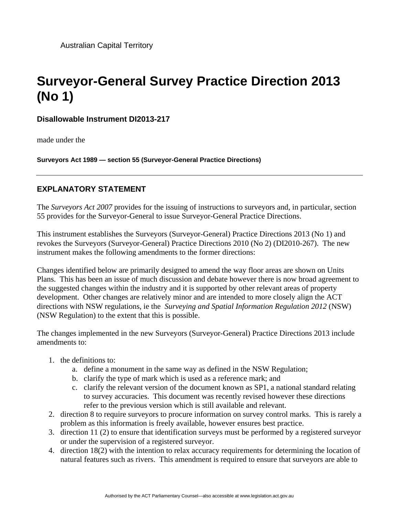Australian Capital Territory

## **Surveyor-General Survey Practice Direction 2013 (No 1)**

**Disallowable Instrument DI2013-217**

made under the

**Surveyors Act 1989 — section 55 (Surveyor-General Practice Directions)**

## **EXPLANATORY STATEMENT**

The *Surveyors Act 2007* provides for the issuing of instructions to surveyors and, in particular, section 55 provides for the Surveyor-General to issue Surveyor-General Practice Directions.

This instrument establishes the Surveyors (Surveyor-General) Practice Directions 2013 (No 1) and revokes the Surveyors (Surveyor-General) Practice Directions 2010 (No 2) (DI2010-267). The new instrument makes the following amendments to the former directions:

Changes identified below are primarily designed to amend the way floor areas are shown on Units Plans. This has been an issue of much discussion and debate however there is now broad agreement to the suggested changes within the industry and it is supported by other relevant areas of property development. Other changes are relatively minor and are intended to more closely align the ACT directions with NSW regulations, ie the *Surveying and Spatial Information Regulation 2012* (NSW) (NSW Regulation) to the extent that this is possible.

The changes implemented in the new Surveyors (Surveyor-General) Practice Directions 2013 include amendments to:

- 1. the definitions to:
	- a. define a monument in the same way as defined in the NSW Regulation;
	- b. clarify the type of mark which is used as a reference mark; and
	- c. clarify the relevant version of the document known as SP1, a national standard relating to survey accuracies. This document was recently revised however these directions refer to the previous version which is still available and relevant.
- 2. direction 8 to require surveyors to procure information on survey control marks. This is rarely a problem as this information is freely available, however ensures best practice.
- 3. direction 11 (2) to ensure that identification surveys must be performed by a registered surveyor or under the supervision of a registered surveyor.
- 4. direction 18(2) with the intention to relax accuracy requirements for determining the location of natural features such as rivers. This amendment is required to ensure that surveyors are able to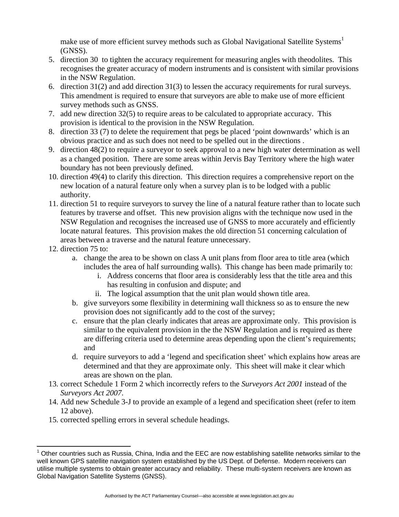make use of more efficient survey methods such as Global Navigational Satellite Systems<sup>1</sup> (GNSS).

- 5. direction 30 to tighten the accuracy requirement for measuring angles with theodolites. This recognises the greater accuracy of modern instruments and is consistent with similar provisions in the NSW Regulation.
- 6. direction 31(2) and add direction 31(3) to lessen the accuracy requirements for rural surveys. This amendment is required to ensure that surveyors are able to make use of more efficient survey methods such as GNSS.
- 7. add new direction 32(5) to require areas to be calculated to appropriate accuracy. This provision is identical to the provision in the NSW Regulation.
- 8. direction 33 (7) to delete the requirement that pegs be placed 'point downwards' which is an obvious practice and as such does not need to be spelled out in the directions .
- 9. direction 48(2) to require a surveyor to seek approval to a new high water determination as well as a changed position. There are some areas within Jervis Bay Territory where the high water boundary has not been previously defined.
- 10. direction 49(4) to clarify this direction. This direction requires a comprehensive report on the new location of a natural feature only when a survey plan is to be lodged with a public authority.
- 11. direction 51 to require surveyors to survey the line of a natural feature rather than to locate such features by traverse and offset. This new provision aligns with the technique now used in the NSW Regulation and recognises the increased use of GNSS to more accurately and efficiently locate natural features. This provision makes the old direction 51 concerning calculation of areas between a traverse and the natural feature unnecessary.
- 12. direction 75 to:
	- a. change the area to be shown on class A unit plans from floor area to title area (which includes the area of half surrounding walls). This change has been made primarily to:
		- i. Address concerns that floor area is considerably less that the title area and this has resulting in confusion and dispute; and
		- ii. The logical assumption that the unit plan would shown title area.
	- b. give surveyors some flexibility in determining wall thickness so as to ensure the new provision does not significantly add to the cost of the survey;
	- c. ensure that the plan clearly indicates that areas are approximate only. This provision is similar to the equivalent provision in the the NSW Regulation and is required as there are differing criteria used to determine areas depending upon the client's requirements; and
	- d. require surveyors to add a 'legend and specification sheet' which explains how areas are determined and that they are approximate only. This sheet will make it clear which areas are shown on the plan.
- 13. correct Schedule 1 Form 2 which incorrectly refers to the *Surveyors Act 2001* instead of the *Surveyors Act 2007*.
- 14. Add new Schedule 3-J to provide an example of a legend and specification sheet (refer to item 12 above).
- 15. corrected spelling errors in several schedule headings.

l  $1$  Other countries such as Russia, China, India and the EEC are now establishing satellite networks similar to the well known GPS satellite navigation system established by the US Dept. of Defense. Modern receivers can utilise multiple systems to obtain greater accuracy and reliability. These multi-system receivers are known as Global Navigation Satellite Systems (GNSS).